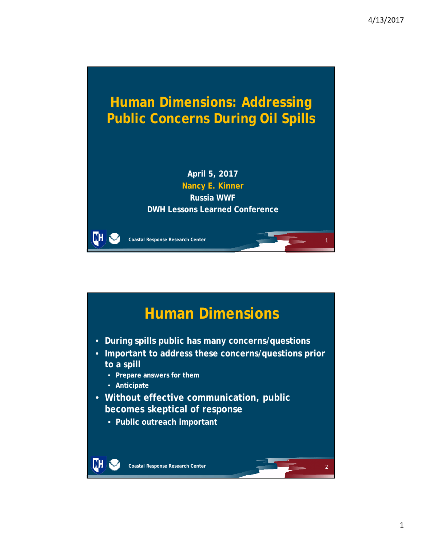

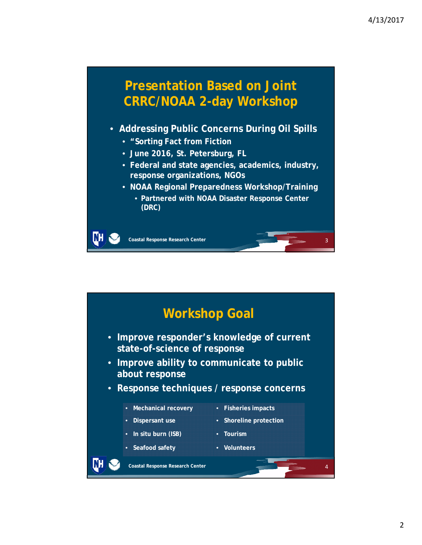

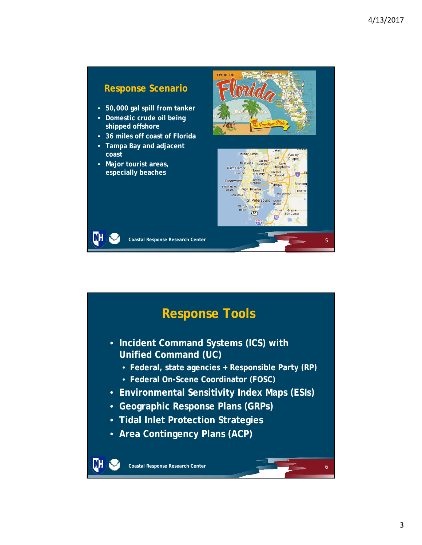

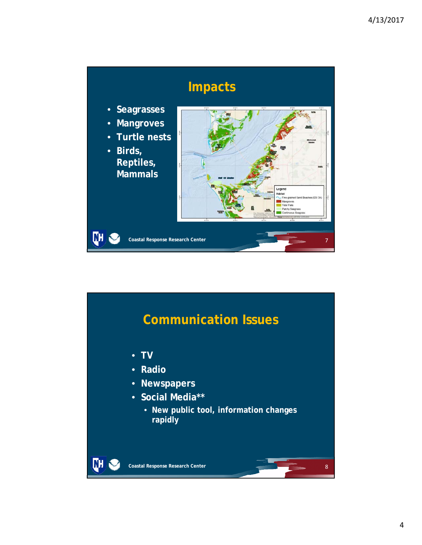

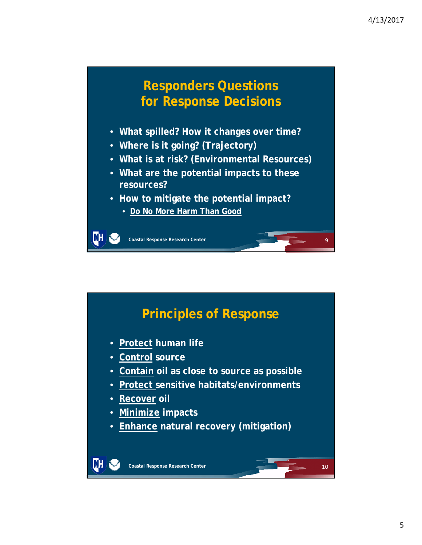## **Responders Questions for Response Decisions**

- **What spilled? How it changes over time?**
- **Where is it going? (Trajectory)**
- **What is at risk? (Environmental Resources)**
- **What are the potential impacts to these resources?**
- **How to mitigate the potential impact?**
	- **Do No More Harm Than Good**

**Coastal Response Research Center**

m

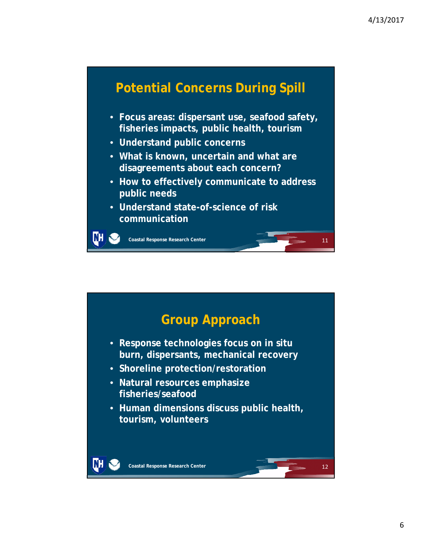# **Potential Concerns During Spill**

- **Focus areas: dispersant use, seafood safety, fisheries impacts, public health, tourism**
- **Understand public concerns**
- **What is known, uncertain and what are disagreements about each concern?**
- **How to effectively communicate to address public needs**
- **Understand state-of-science of risk communication**

**Coastal Response Research Center**

DН

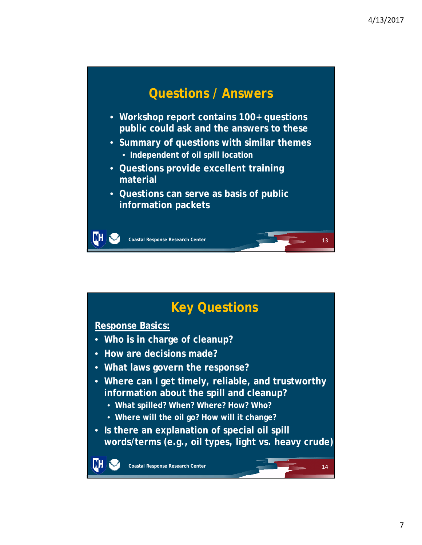14

# **Questions / Answers**

- **Workshop report contains 100+ questions public could ask and the answers to these**
- **Summary of questions with similar themes**
	- **Independent of oil spill location**
- **Questions provide excellent training material**
- **Questions can serve as basis of public information packets**

**Coastal Response Research Center**

# **Key Questions**

#### **Response Basics:**

DН

- **Who is in charge of cleanup?**
- **How are decisions made?**
- **What laws govern the response?**
- **Where can I get timely, reliable, and trustworthy information about the spill and cleanup?**
	- **What spilled? When? Where? How? Who?**
	- **Where will the oil go? How will it change?**
- **Is there an explanation of special oil spill words/terms (e.g., oil types, light vs. heavy crude)**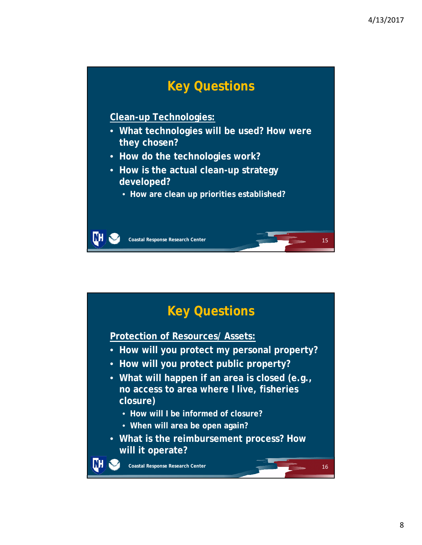

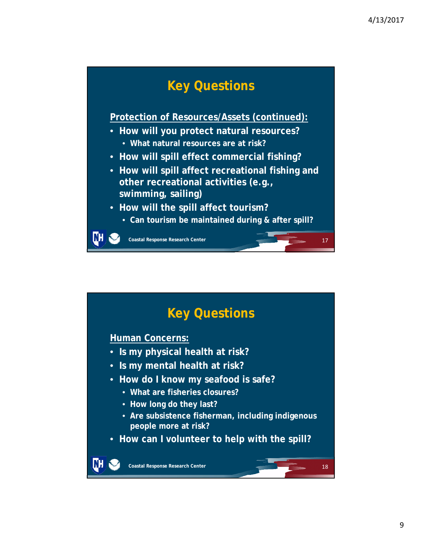# **Key Questions**

**Protection of Resources/Assets (continued):**

- **How will you protect natural resources?**
	- **What natural resources are at risk?**
- **How will spill effect commercial fishing?**
- **How will spill affect recreational fishing and other recreational activities (e.g., swimming, sailing)**
- **How will the spill affect tourism?**
	- **Can tourism be maintained during & after spill?**

**Coastal Response Research Center**

ĽН

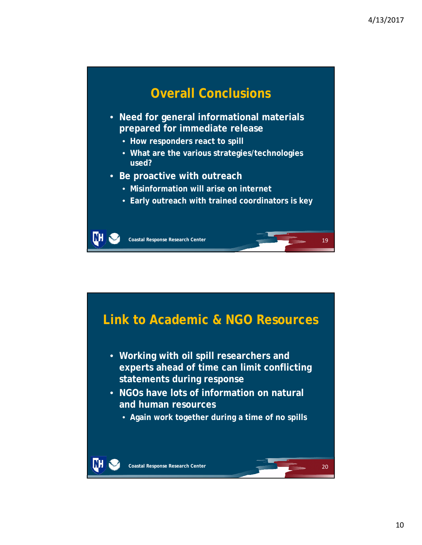